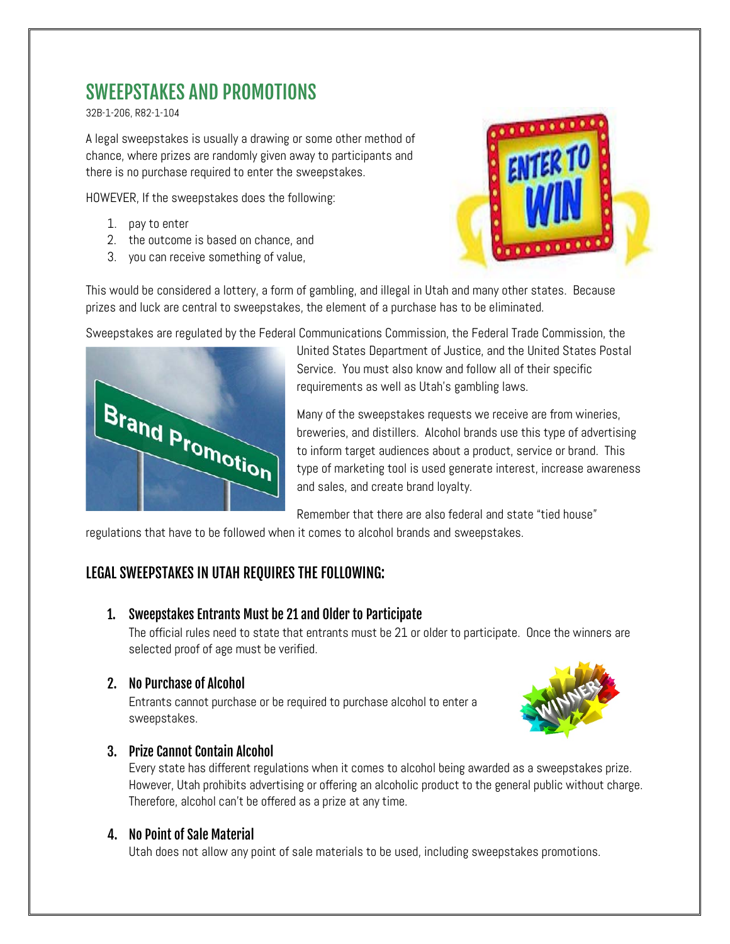# SWEEPSTAKES AND PROMOTIONS

32B-1-206, R82-1-104

A legal sweepstakes is usually a drawing or some other method of chance, where prizes are randomly given away to participants and there is no purchase required to enter the sweepstakes.

HOWEVER, If the sweepstakes does the following:

- 1. pay to enter
- 2. the outcome is based on chance, and
- 3. you can receive something of value,



This would be considered a lottery, a form of gambling, and illegal in Utah and many other states. Because prizes and luck are central to sweepstakes, the element of a purchase has to be eliminated.

Sweepstakes are regulated by the Federal Communications Commission, the Federal Trade Commission, the



United States Department of Justice, and the United States Postal Service. You must also know and follow all of their specific requirements as well as Utah's gambling laws.

Many of the sweepstakes requests we receive are from wineries, breweries, and distillers. Alcohol brands use this type of advertising to inform target audiences about a product, service or brand. This type of marketing tool is used generate interest, increase awareness and sales, and create brand loyalty.

Remember that there are also federal and state "tied house"

regulations that have to be followed when it comes to alcohol brands and sweepstakes.

## LEGAL SWEEPSTAKES IN UTAH REQUIRES THE FOLLOWING:

#### 1. Sweepstakes Entrants Must be 21 and Older to Participate

The official rules need to state that entrants must be 21 or older to participate. Once the winners are selected proof of age must be verified.

### 2. No Purchase of Alcohol

Entrants cannot purchase or be required to purchase alcohol to enter a sweepstakes.



### 3. Prize Cannot Contain Alcohol

Every state has different regulations when it comes to alcohol being awarded as a sweepstakes prize. However, Utah prohibits advertising or offering an alcoholic product to the general public without charge. Therefore, alcohol can't be offered as a prize at any time.

#### 4. No Point of Sale Material

Utah does not allow any point of sale materials to be used, including sweepstakes promotions.